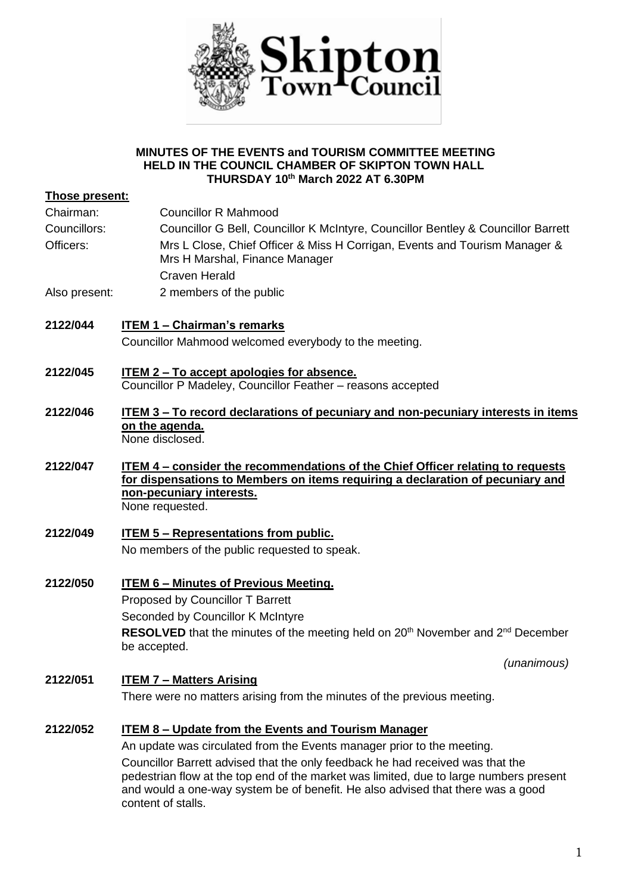

#### **MINUTES OF THE EVENTS and TOURISM COMMITTEE MEETING HELD IN THE COUNCIL CHAMBER OF SKIPTON TOWN HALL THURSDAY 10th March 2022 AT 6.30PM**

|                       | IHURSDAY 10 WARCH 2022 AT 6.30 PM                                                                                                                                                                                                                                                 |
|-----------------------|-----------------------------------------------------------------------------------------------------------------------------------------------------------------------------------------------------------------------------------------------------------------------------------|
| <b>Those present:</b> |                                                                                                                                                                                                                                                                                   |
| Chairman:             | <b>Councillor R Mahmood</b>                                                                                                                                                                                                                                                       |
| Councillors:          | Councillor G Bell, Councillor K McIntyre, Councillor Bentley & Councillor Barrett                                                                                                                                                                                                 |
| Officers:             | Mrs L Close, Chief Officer & Miss H Corrigan, Events and Tourism Manager &<br>Mrs H Marshal, Finance Manager<br><b>Craven Herald</b>                                                                                                                                              |
| Also present:         | 2 members of the public                                                                                                                                                                                                                                                           |
| 2122/044              | <b>ITEM 1 - Chairman's remarks</b><br>Councillor Mahmood welcomed everybody to the meeting.                                                                                                                                                                                       |
| 2122/045              | <b>ITEM 2 - To accept apologies for absence.</b><br>Councillor P Madeley, Councillor Feather - reasons accepted                                                                                                                                                                   |
| 2122/046              | ITEM 3 – To record declarations of pecuniary and non-pecuniary interests in items<br>on the agenda.<br>None disclosed.                                                                                                                                                            |
| 2122/047              | <b>ITEM 4 – consider the recommendations of the Chief Officer relating to requests</b><br>for dispensations to Members on items requiring a declaration of pecuniary and<br>non-pecuniary interests.<br>None requested.                                                           |
| 2122/049              | <b>ITEM 5 - Representations from public.</b>                                                                                                                                                                                                                                      |
|                       | No members of the public requested to speak.                                                                                                                                                                                                                                      |
| 2122/050              | <b>ITEM 6 - Minutes of Previous Meeting.</b>                                                                                                                                                                                                                                      |
|                       | Proposed by Councillor T Barrett                                                                                                                                                                                                                                                  |
|                       | Seconded by Councillor K McIntyre                                                                                                                                                                                                                                                 |
|                       | RESOLVED that the minutes of the meeting held on 20 <sup>th</sup> November and 2 <sup>nd</sup> December<br>be accepted.                                                                                                                                                           |
|                       | (unanimous)                                                                                                                                                                                                                                                                       |
| 2122/051              | <b>ITEM 7 - Matters Arising</b>                                                                                                                                                                                                                                                   |
|                       | There were no matters arising from the minutes of the previous meeting.                                                                                                                                                                                                           |
| 2122/052              | <b>ITEM 8 - Update from the Events and Tourism Manager</b>                                                                                                                                                                                                                        |
|                       | An update was circulated from the Events manager prior to the meeting.                                                                                                                                                                                                            |
|                       | Councillor Barrett advised that the only feedback he had received was that the<br>pedestrian flow at the top end of the market was limited, due to large numbers present<br>and would a one-way system be of benefit. He also advised that there was a good<br>content of stalls. |